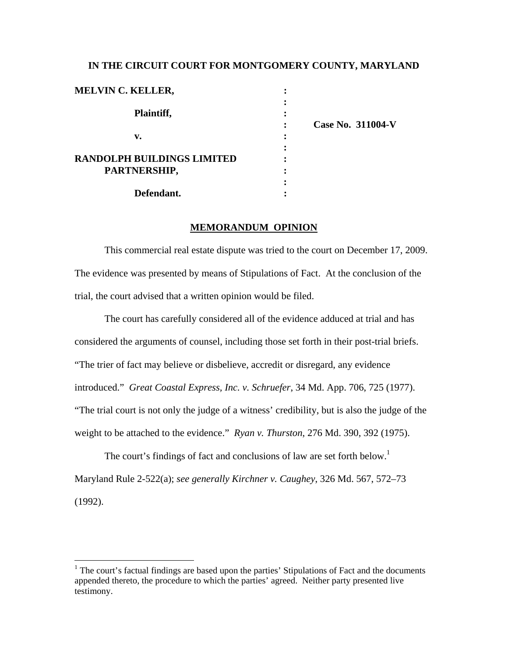# **IN THE CIRCUIT COURT FOR MONTGOMERY COUNTY, MARYLAND**

| <b>MELVIN C. KELLER,</b>   |                   |
|----------------------------|-------------------|
|                            |                   |
| Plaintiff,                 |                   |
|                            | Case No. 311004-V |
| v.                         |                   |
|                            |                   |
| RANDOLPH BUILDINGS LIMITED |                   |
| PARTNERSHIP,               |                   |
|                            |                   |
| Defendant.                 |                   |

## **MEMORANDUM OPINION**

 This commercial real estate dispute was tried to the court on December 17, 2009. The evidence was presented by means of Stipulations of Fact. At the conclusion of the trial, the court advised that a written opinion would be filed.

 The court has carefully considered all of the evidence adduced at trial and has considered the arguments of counsel, including those set forth in their post-trial briefs. "The trier of fact may believe or disbelieve, accredit or disregard, any evidence introduced." *Great Coastal Express, Inc. v. Schruefer*, 34 Md. App. 706, 725 (1977). "The trial court is not only the judge of a witness' credibility, but is also the judge of the weight to be attached to the evidence." *Ryan v. Thurston*, 276 Md. 390, 392 (1975).

The court's findings of fact and conclusions of law are set forth below.<sup>1</sup> Maryland Rule 2-522(a); *see generally Kirchner v. Caughey*, 326 Md. 567, 572–73 (1992).

 $\overline{a}$ 

 $<sup>1</sup>$  The court's factual findings are based upon the parties' Stipulations of Fact and the documents</sup> appended thereto, the procedure to which the parties' agreed. Neither party presented live testimony.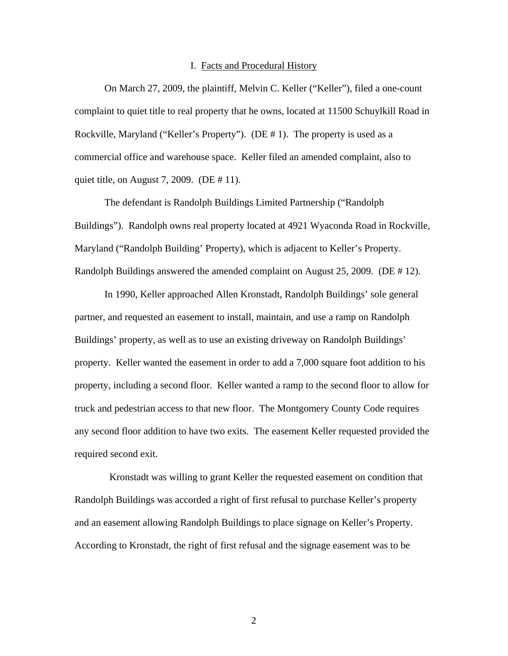#### I. Facts and Procedural History

On March 27, 2009, the plaintiff, Melvin C. Keller ("Keller"), filed a one-count complaint to quiet title to real property that he owns, located at 11500 Schuylkill Road in Rockville, Maryland ("Keller's Property"). (DE # 1). The property is used as a commercial office and warehouse space. Keller filed an amended complaint, also to quiet title, on August 7, 2009. (DE # 11).

The defendant is Randolph Buildings Limited Partnership ("Randolph Buildings"). Randolph owns real property located at 4921 Wyaconda Road in Rockville, Maryland ("Randolph Building' Property), which is adjacent to Keller's Property. Randolph Buildings answered the amended complaint on August 25, 2009. (DE # 12).

In 1990, Keller approached Allen Kronstadt, Randolph Buildings' sole general partner, and requested an easement to install, maintain, and use a ramp on Randolph Buildings' property, as well as to use an existing driveway on Randolph Buildings' property. Keller wanted the easement in order to add a 7,000 square foot addition to his property, including a second floor. Keller wanted a ramp to the second floor to allow for truck and pedestrian access to that new floor. The Montgomery County Code requires any second floor addition to have two exits. The easement Keller requested provided the required second exit.

 Kronstadt was willing to grant Keller the requested easement on condition that Randolph Buildings was accorded a right of first refusal to purchase Keller's property and an easement allowing Randolph Buildings to place signage on Keller's Property. According to Kronstadt, the right of first refusal and the signage easement was to be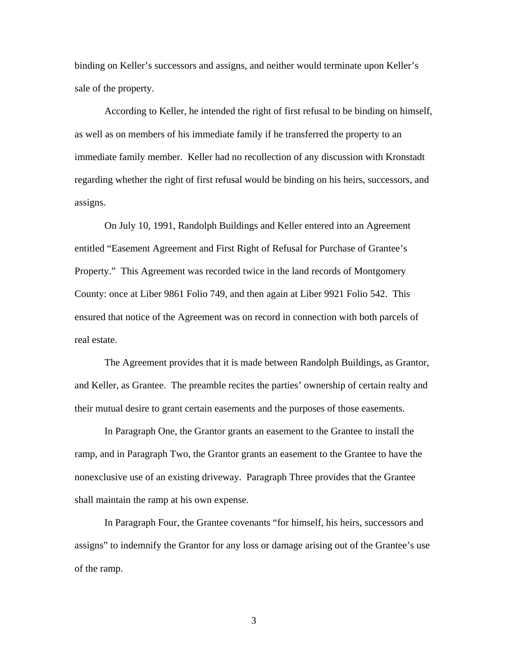binding on Keller's successors and assigns, and neither would terminate upon Keller's sale of the property.

According to Keller, he intended the right of first refusal to be binding on himself, as well as on members of his immediate family if he transferred the property to an immediate family member. Keller had no recollection of any discussion with Kronstadt regarding whether the right of first refusal would be binding on his heirs, successors, and assigns.

On July 10, 1991, Randolph Buildings and Keller entered into an Agreement entitled "Easement Agreement and First Right of Refusal for Purchase of Grantee's Property." This Agreement was recorded twice in the land records of Montgomery County: once at Liber 9861 Folio 749, and then again at Liber 9921 Folio 542. This ensured that notice of the Agreement was on record in connection with both parcels of real estate.

The Agreement provides that it is made between Randolph Buildings, as Grantor, and Keller, as Grantee. The preamble recites the parties' ownership of certain realty and their mutual desire to grant certain easements and the purposes of those easements.

In Paragraph One, the Grantor grants an easement to the Grantee to install the ramp, and in Paragraph Two, the Grantor grants an easement to the Grantee to have the nonexclusive use of an existing driveway. Paragraph Three provides that the Grantee shall maintain the ramp at his own expense.

In Paragraph Four, the Grantee covenants "for himself, his heirs, successors and assigns" to indemnify the Grantor for any loss or damage arising out of the Grantee's use of the ramp.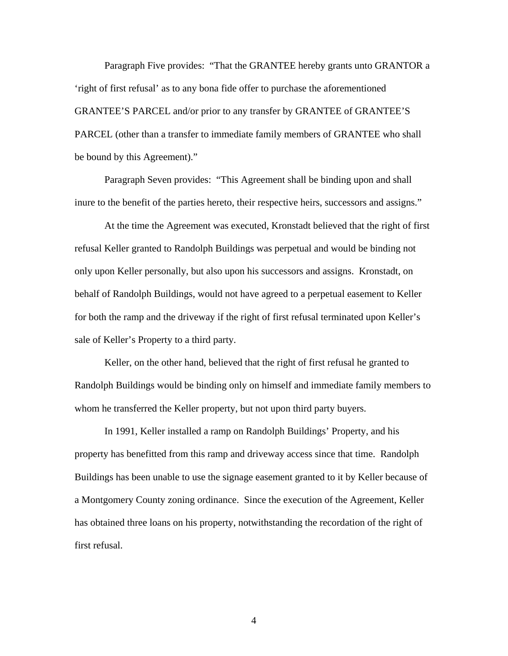Paragraph Five provides: "That the GRANTEE hereby grants unto GRANTOR a 'right of first refusal' as to any bona fide offer to purchase the aforementioned GRANTEE'S PARCEL and/or prior to any transfer by GRANTEE of GRANTEE'S PARCEL (other than a transfer to immediate family members of GRANTEE who shall be bound by this Agreement)."

Paragraph Seven provides: "This Agreement shall be binding upon and shall inure to the benefit of the parties hereto, their respective heirs, successors and assigns."

At the time the Agreement was executed, Kronstadt believed that the right of first refusal Keller granted to Randolph Buildings was perpetual and would be binding not only upon Keller personally, but also upon his successors and assigns. Kronstadt, on behalf of Randolph Buildings, would not have agreed to a perpetual easement to Keller for both the ramp and the driveway if the right of first refusal terminated upon Keller's sale of Keller's Property to a third party.

Keller, on the other hand, believed that the right of first refusal he granted to Randolph Buildings would be binding only on himself and immediate family members to whom he transferred the Keller property, but not upon third party buyers.

In 1991, Keller installed a ramp on Randolph Buildings' Property, and his property has benefitted from this ramp and driveway access since that time. Randolph Buildings has been unable to use the signage easement granted to it by Keller because of a Montgomery County zoning ordinance. Since the execution of the Agreement, Keller has obtained three loans on his property, notwithstanding the recordation of the right of first refusal.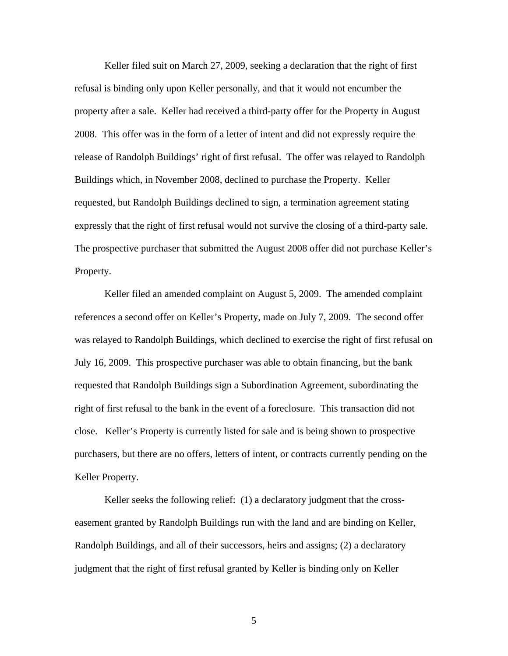Keller filed suit on March 27, 2009, seeking a declaration that the right of first refusal is binding only upon Keller personally, and that it would not encumber the property after a sale. Keller had received a third-party offer for the Property in August 2008. This offer was in the form of a letter of intent and did not expressly require the release of Randolph Buildings' right of first refusal. The offer was relayed to Randolph Buildings which, in November 2008, declined to purchase the Property. Keller requested, but Randolph Buildings declined to sign, a termination agreement stating expressly that the right of first refusal would not survive the closing of a third-party sale. The prospective purchaser that submitted the August 2008 offer did not purchase Keller's Property.

Keller filed an amended complaint on August 5, 2009. The amended complaint references a second offer on Keller's Property, made on July 7, 2009. The second offer was relayed to Randolph Buildings, which declined to exercise the right of first refusal on July 16, 2009. This prospective purchaser was able to obtain financing, but the bank requested that Randolph Buildings sign a Subordination Agreement, subordinating the right of first refusal to the bank in the event of a foreclosure. This transaction did not close. Keller's Property is currently listed for sale and is being shown to prospective purchasers, but there are no offers, letters of intent, or contracts currently pending on the Keller Property.

Keller seeks the following relief: (1) a declaratory judgment that the crosseasement granted by Randolph Buildings run with the land and are binding on Keller, Randolph Buildings, and all of their successors, heirs and assigns; (2) a declaratory judgment that the right of first refusal granted by Keller is binding only on Keller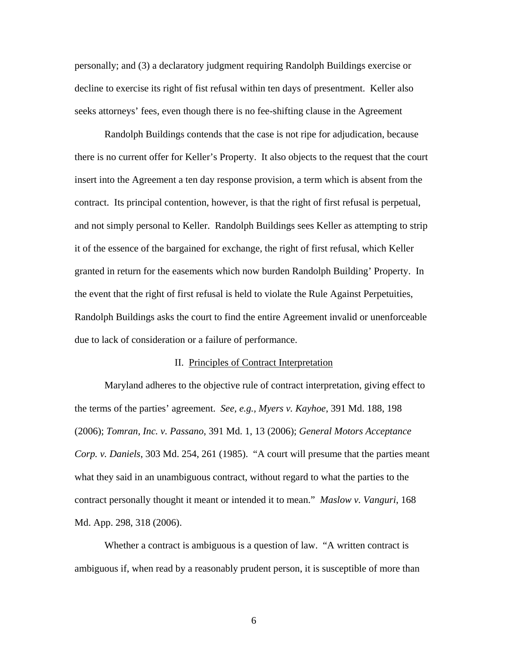personally; and (3) a declaratory judgment requiring Randolph Buildings exercise or decline to exercise its right of fist refusal within ten days of presentment. Keller also seeks attorneys' fees, even though there is no fee-shifting clause in the Agreement

Randolph Buildings contends that the case is not ripe for adjudication, because there is no current offer for Keller's Property. It also objects to the request that the court insert into the Agreement a ten day response provision, a term which is absent from the contract. Its principal contention, however, is that the right of first refusal is perpetual, and not simply personal to Keller. Randolph Buildings sees Keller as attempting to strip it of the essence of the bargained for exchange, the right of first refusal, which Keller granted in return for the easements which now burden Randolph Building' Property. In the event that the right of first refusal is held to violate the Rule Against Perpetuities, Randolph Buildings asks the court to find the entire Agreement invalid or unenforceable due to lack of consideration or a failure of performance.

#### II. Principles of Contract Interpretation

Maryland adheres to the objective rule of contract interpretation, giving effect to the terms of the parties' agreement. *See, e.g., Myers v. Kayhoe*, 391 Md. 188, 198 (2006); *Tomran, Inc. v. Passano*, 391 Md. 1, 13 (2006); *General Motors Acceptance Corp. v. Daniels*, 303 Md. 254, 261 (1985). "A court will presume that the parties meant what they said in an unambiguous contract, without regard to what the parties to the contract personally thought it meant or intended it to mean." *Maslow v. Vanguri*, 168 Md. App. 298, 318 (2006).

Whether a contract is ambiguous is a question of law. "A written contract is ambiguous if, when read by a reasonably prudent person, it is susceptible of more than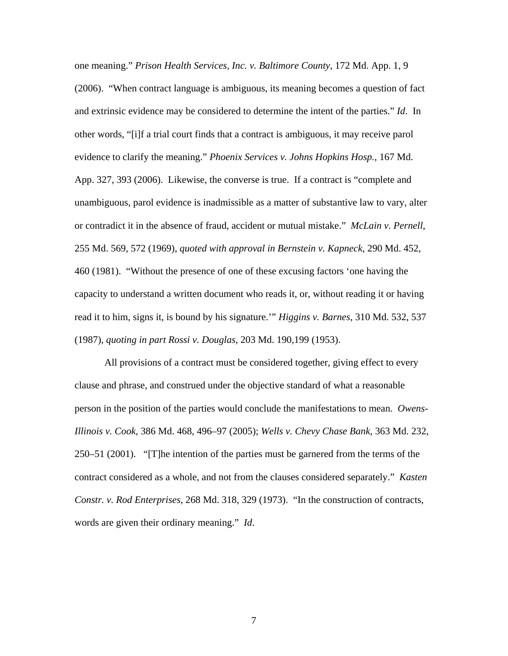one meaning." *Prison Health Services, Inc. v. Baltimore County*, 172 Md. App. 1, 9 (2006). "When contract language is ambiguous, its meaning becomes a question of fact and extrinsic evidence may be considered to determine the intent of the parties." *Id*. In other words, "[i]f a trial court finds that a contract is ambiguous, it may receive parol evidence to clarify the meaning." *Phoenix Services v. Johns Hopkins Hosp.*, 167 Md. App. 327, 393 (2006). Likewise, the converse is true. If a contract is "complete and unambiguous, parol evidence is inadmissible as a matter of substantive law to vary, alter or contradict it in the absence of fraud, accident or mutual mistake." *McLain v. Pernell*, 255 Md. 569, 572 (1969), *quoted with approval in Bernstein v. Kapneck*, 290 Md. 452, 460 (1981). "Without the presence of one of these excusing factors 'one having the capacity to understand a written document who reads it, or, without reading it or having read it to him, signs it, is bound by his signature.'" *Higgins v. Barnes*, 310 Md. 532, 537 (1987), *quoting in part Rossi v. Douglas*, 203 Md. 190,199 (1953).

All provisions of a contract must be considered together, giving effect to every clause and phrase, and construed under the objective standard of what a reasonable person in the position of the parties would conclude the manifestations to mean. *Owens-Illinois v. Cook,* 386 Md. 468, 496–97 (2005); *Wells v. Chevy Chase Bank*, 363 Md. 232, 250–51 (2001). "[T]he intention of the parties must be garnered from the terms of the contract considered as a whole, and not from the clauses considered separately." *Kasten Constr. v. Rod Enterprises*, 268 Md. 318, 329 (1973). "In the construction of contracts, words are given their ordinary meaning." *Id*.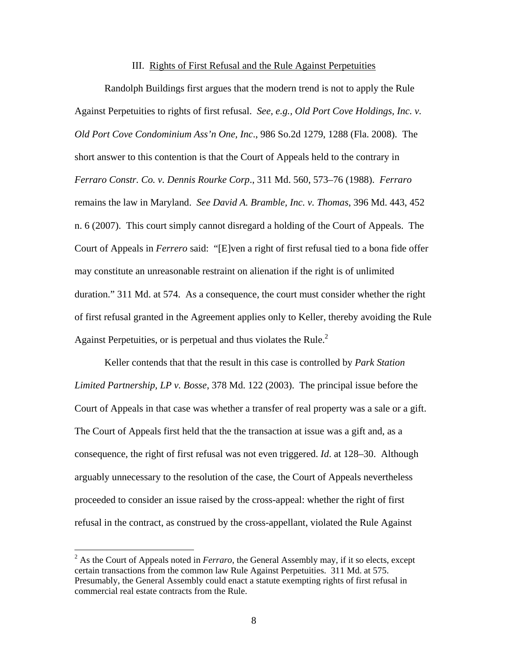### III. Rights of First Refusal and the Rule Against Perpetuities

 Randolph Buildings first argues that the modern trend is not to apply the Rule Against Perpetuities to rights of first refusal. *See, e.g., Old Port Cove Holdings, Inc. v. Old Port Cove Condominium Ass'n One, Inc*., 986 So.2d 1279, 1288 (Fla. 2008). The short answer to this contention is that the Court of Appeals held to the contrary in *Ferraro Constr. Co. v. Dennis Rourke Corp*., 311 Md. 560, 573–76 (1988). *Ferraro* remains the law in Maryland. *See David A. Bramble, Inc. v. Thomas*, 396 Md. 443, 452 n. 6 (2007). This court simply cannot disregard a holding of the Court of Appeals. The Court of Appeals in *Ferrero* said: "[E]ven a right of first refusal tied to a bona fide offer may constitute an unreasonable restraint on alienation if the right is of unlimited duration." 311 Md. at 574. As a consequence, the court must consider whether the right of first refusal granted in the Agreement applies only to Keller, thereby avoiding the Rule Against Perpetuities, or is perpetual and thus violates the Rule. $<sup>2</sup>$ </sup>

 Keller contends that that the result in this case is controlled by *Park Station Limited Partnership, LP v. Bosse*, 378 Md. 122 (2003). The principal issue before the Court of Appeals in that case was whether a transfer of real property was a sale or a gift. The Court of Appeals first held that the the transaction at issue was a gift and, as a consequence, the right of first refusal was not even triggered. *Id*. at 128–30. Although arguably unnecessary to the resolution of the case, the Court of Appeals nevertheless proceeded to consider an issue raised by the cross-appeal: whether the right of first refusal in the contract, as construed by the cross-appellant, violated the Rule Against

 $\overline{a}$ 

<sup>2</sup> As the Court of Appeals noted in *Ferraro*, the General Assembly may, if it so elects, except certain transactions from the common law Rule Against Perpetuities. 311 Md. at 575. Presumably, the General Assembly could enact a statute exempting rights of first refusal in commercial real estate contracts from the Rule.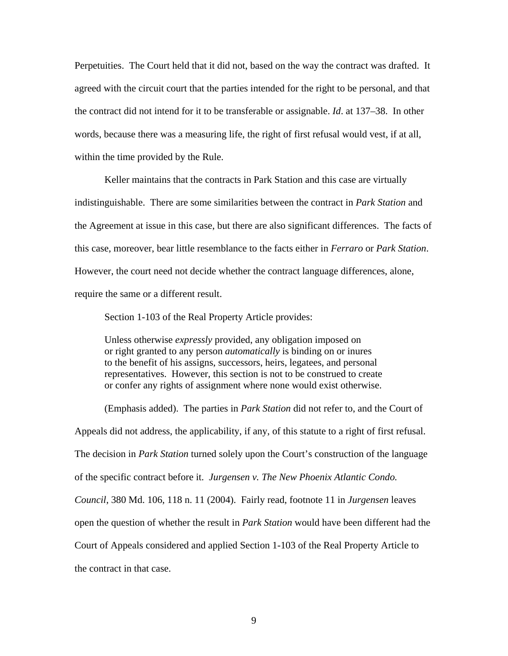Perpetuities. The Court held that it did not, based on the way the contract was drafted. It agreed with the circuit court that the parties intended for the right to be personal, and that the contract did not intend for it to be transferable or assignable. *Id*. at 137–38. In other words, because there was a measuring life, the right of first refusal would vest, if at all, within the time provided by the Rule.

 Keller maintains that the contracts in Park Station and this case are virtually indistinguishable. There are some similarities between the contract in *Park Station* and the Agreement at issue in this case, but there are also significant differences. The facts of this case, moreover, bear little resemblance to the facts either in *Ferraro* or *Park Station*. However, the court need not decide whether the contract language differences, alone, require the same or a different result.

Section 1-103 of the Real Property Article provides:

 Unless otherwise *expressly* provided, any obligation imposed on or right granted to any person *automatically* is binding on or inures to the benefit of his assigns, successors, heirs, legatees, and personal representatives. However, this section is not to be construed to create or confer any rights of assignment where none would exist otherwise.

(Emphasis added). The parties in *Park Station* did not refer to, and the Court of Appeals did not address, the applicability, if any, of this statute to a right of first refusal. The decision in *Park Station* turned solely upon the Court's construction of the language of the specific contract before it. *Jurgensen v. The New Phoenix Atlantic Condo. Council*, 380 Md. 106, 118 n. 11 (2004). Fairly read, footnote 11 in *Jurgensen* leaves open the question of whether the result in *Park Station* would have been different had the Court of Appeals considered and applied Section 1-103 of the Real Property Article to the contract in that case.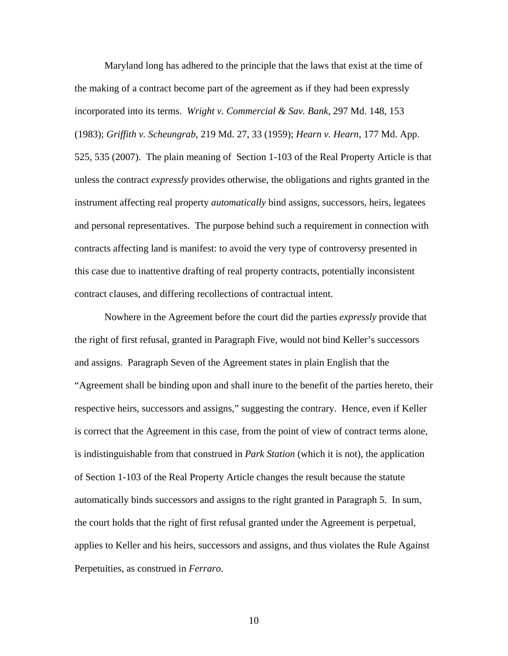Maryland long has adhered to the principle that the laws that exist at the time of the making of a contract become part of the agreement as if they had been expressly incorporated into its terms. *Wright v. Commercial & Sav. Bank*, 297 Md. 148, 153 (1983); *Griffith v. Scheungrab*, 219 Md. 27, 33 (1959); *Hearn v. Hearn*, 177 Md. App. 525, 535 (2007). The plain meaning of Section 1-103 of the Real Property Article is that unless the contract *expressly* provides otherwise, the obligations and rights granted in the instrument affecting real property *automatically* bind assigns, successors, heirs, legatees and personal representatives. The purpose behind such a requirement in connection with contracts affecting land is manifest: to avoid the very type of controversy presented in this case due to inattentive drafting of real property contracts, potentially inconsistent contract clauses, and differing recollections of contractual intent.

Nowhere in the Agreement before the court did the parties *expressly* provide that the right of first refusal, granted in Paragraph Five, would not bind Keller's successors and assigns. Paragraph Seven of the Agreement states in plain English that the "Agreement shall be binding upon and shall inure to the benefit of the parties hereto, their respective heirs, successors and assigns," suggesting the contrary. Hence, even if Keller is correct that the Agreement in this case, from the point of view of contract terms alone, is indistinguishable from that construed in *Park Station* (which it is not), the application of Section 1-103 of the Real Property Article changes the result because the statute automatically binds successors and assigns to the right granted in Paragraph 5. In sum, the court holds that the right of first refusal granted under the Agreement is perpetual, applies to Keller and his heirs, successors and assigns, and thus violates the Rule Against Perpetuities, as construed in *Ferraro*.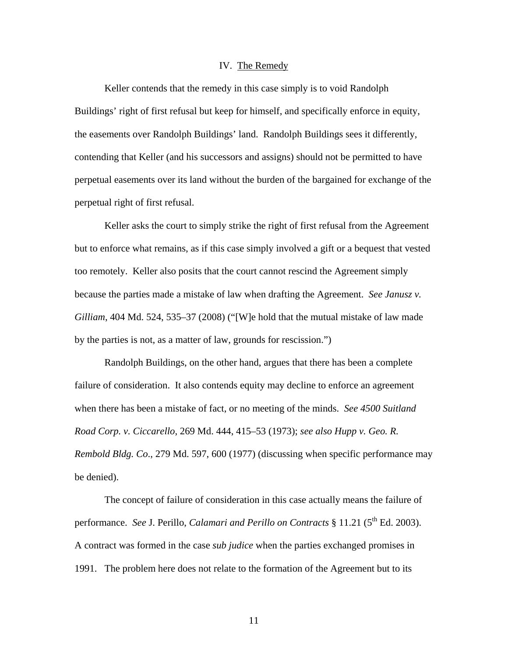### IV. The Remedy

 Keller contends that the remedy in this case simply is to void Randolph Buildings' right of first refusal but keep for himself, and specifically enforce in equity, the easements over Randolph Buildings' land. Randolph Buildings sees it differently, contending that Keller (and his successors and assigns) should not be permitted to have perpetual easements over its land without the burden of the bargained for exchange of the perpetual right of first refusal.

 Keller asks the court to simply strike the right of first refusal from the Agreement but to enforce what remains, as if this case simply involved a gift or a bequest that vested too remotely. Keller also posits that the court cannot rescind the Agreement simply because the parties made a mistake of law when drafting the Agreement. *See Janusz v. Gilliam*, 404 Md. 524, 535–37 (2008) ("[W]e hold that the mutual mistake of law made by the parties is not, as a matter of law, grounds for rescission.")

Randolph Buildings, on the other hand, argues that there has been a complete failure of consideration. It also contends equity may decline to enforce an agreement when there has been a mistake of fact, or no meeting of the minds. *See 4500 Suitland Road Corp. v. Ciccarello*, 269 Md. 444, 415–53 (1973); *see also Hupp v. Geo. R. Rembold Bldg. Co*., 279 Md. 597, 600 (1977) (discussing when specific performance may be denied).

 The concept of failure of consideration in this case actually means the failure of performance. *See* J. Perillo, *Calamari and Perillo on Contracts* § 11.21 (5<sup>th</sup> Ed. 2003). A contract was formed in the case *sub judice* when the parties exchanged promises in 1991. The problem here does not relate to the formation of the Agreement but to its